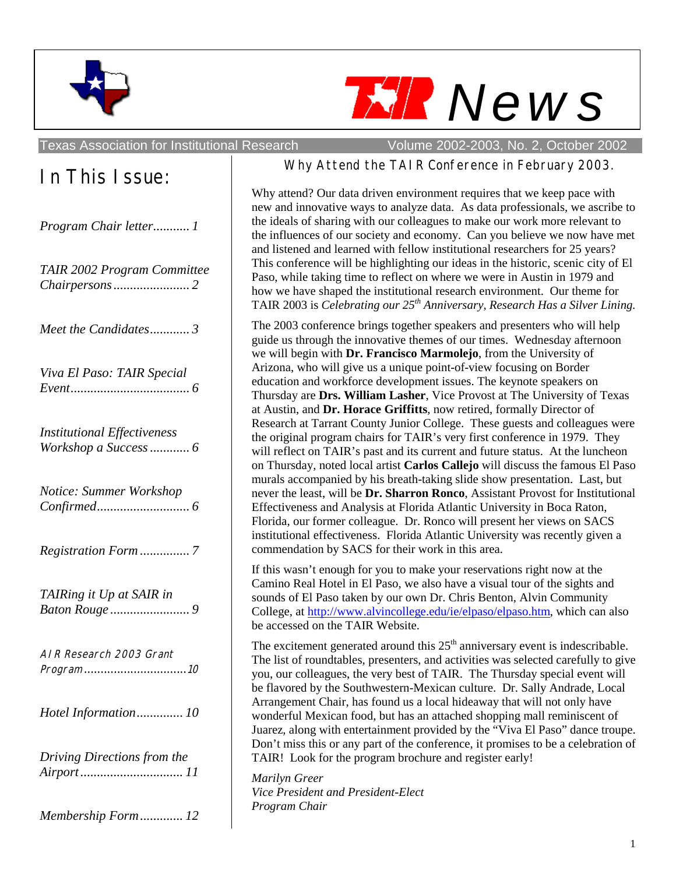



Texas Association for Institutional Research Volume 2002-2003, No. 2, October 2002

| In This Issue: |  |
|----------------|--|
|----------------|--|

| Program Chair letter 1             |
|------------------------------------|
| TAIR 2002 Program Committee        |
| Meet the Candidates3               |
| Viva El Paso: TAIR Special         |
| <b>Institutional Effectiveness</b> |
| Notice: Summer Workshop            |
| Registration Form7                 |
| TAIRing it Up at SAIR in           |
| AIR Research 2003 Grant            |
| Hotel Information 10               |
| Driving Directions from the        |
| Membership Form 12                 |

#### Why Attend the TAIR Conference in February 2003.

Why attend? Our data driven environment requires that we keep pace with new and innovative ways to analyze data. As data professionals, we ascribe to the ideals of sharing with our colleagues to make our work more relevant to the influences of our society and economy. Can you believe we now have met and listened and learned with fellow institutional researchers for 25 years? This conference will be highlighting our ideas in the historic, scenic city of El Paso, while taking time to reflect on where we were in Austin in 1979 and how we have shaped the institutional research environment. Our theme for TAIR 2003 is *Celebrating our 25th Anniversary, Research Has a Silver Lining.* 

The 2003 conference brings together speakers and presenters who will help guide us through the innovative themes of our times. Wednesday afternoon we will begin with **Dr. Francisco Marmolejo**, from the University of Arizona, who will give us a unique point-of-view focusing on Border education and workforce development issues. The keynote speakers on Thursday are **Drs. William Lasher**, Vice Provost at The University of Texas at Austin, and **Dr. Horace Griffitts**, now retired, formally Director of Research at Tarrant County Junior College. These guests and colleagues were the original program chairs for TAIR's very first conference in 1979. They will reflect on TAIR's past and its current and future status. At the luncheon on Thursday, noted local artist **Carlos Callejo** will discuss the famous El Paso murals accompanied by his breath-taking slide show presentation. Last, but never the least, will be **Dr. Sharron Ronco**, Assistant Provost for Institutional Effectiveness and Analysis at Florida Atlantic University in Boca Raton, Florida, our former colleague. Dr. Ronco will present her views on SACS institutional effectiveness. Florida Atlantic University was recently given a commendation by SACS for their work in this area.

If this wasn't enough for you to make your reservations right now at the Camino Real Hotel in El Paso, we also have a visual tour of the sights and sounds of El Paso taken by our own Dr. Chris Benton, Alvin Community College, at http://www.alvincollege.edu/ie/elpaso/elpaso.htm, which can also be accessed on the TAIR Website.

The excitement generated around this  $25<sup>th</sup>$  anniversary event is indescribable. The list of roundtables, presenters, and activities was selected carefully to give you, our colleagues, the very best of TAIR. The Thursday special event will be flavored by the Southwestern-Mexican culture. Dr. Sally Andrade, Local Arrangement Chair, has found us a local hideaway that will not only have wonderful Mexican food, but has an attached shopping mall reminiscent of Juarez, along with entertainment provided by the "Viva El Paso" dance troupe. Don't miss this or any part of the conference, it promises to be a celebration of TAIR! Look for the program brochure and register early!

*Marilyn Greer Vice President and President-Elect Program Chair*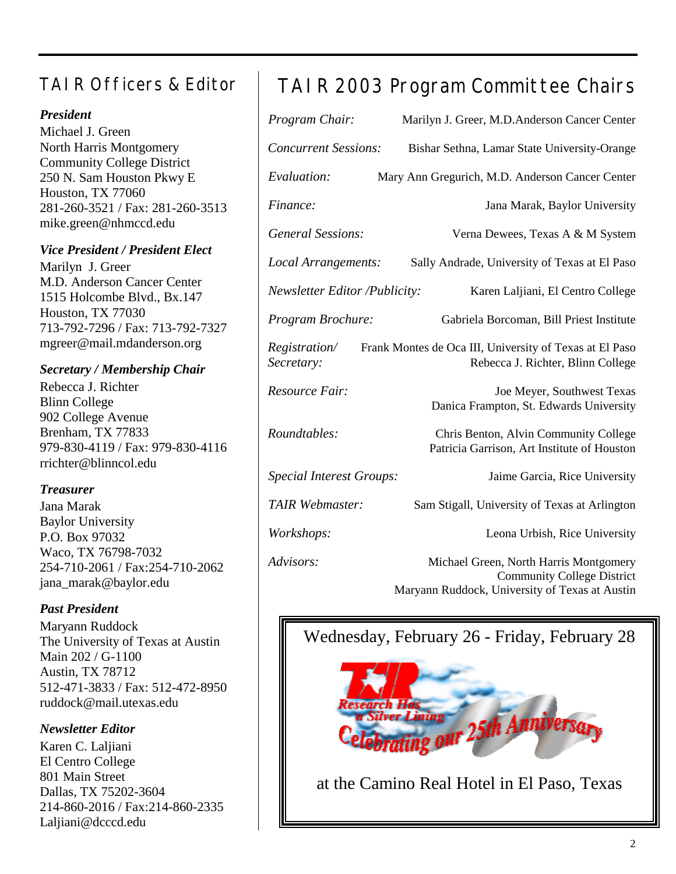### TAIR Officers & Editor

#### *President*

Michael J. Green North Harris Montgomery Community College District 250 N. Sam Houston Pkwy E Houston, TX 77060 281-260-3521 / Fax: 281-260-3513 mike.green@nhmccd.edu

#### *Vice President / President Elect*

Marilyn J. Greer M.D. Anderson Cancer Center 1515 Holcombe Blvd., Bx.147 Houston, TX 77030 713-792-7296 / Fax: 713-792-7327 mgreer@mail.mdanderson.org

#### *Secretary / Membership Chair*

Rebecca J. Richter Blinn College 902 College Avenue Brenham, TX 77833 979-830-4119 / Fax: 979-830-4116 rrichter@blinncol.edu

#### *Treasurer*

Jana Marak Baylor University P.O. Box 97032 Waco, TX 76798-7032 254-710-2061 / Fax:254-710-2062 jana\_marak@baylor.edu

#### *Past President*

Maryann Ruddock The University of Texas at Austin Main 202 / G-1100 Austin, TX 78712 512-471-3833 / Fax: 512-472-8950 ruddock@mail.utexas.edu

#### *Newsletter Editor*

Karen C. Laljiani El Centro College 801 Main Street Dallas, TX 75202-3604 214-860-2016 / Fax:214-860-2335 Laljiani@dcccd.edu

## TAIR 2003 Program Committee Chairs

| Program Chair:                       | Marilyn J. Greer, M.D.Anderson Cancer Center                                                 |
|--------------------------------------|----------------------------------------------------------------------------------------------|
| <b>Concurrent Sessions:</b>          | Bishar Sethna, Lamar State University-Orange                                                 |
| Evaluation:                          | Mary Ann Gregurich, M.D. Anderson Cancer Center                                              |
| Finance:                             | Jana Marak, Baylor University                                                                |
| <b>General Sessions:</b>             | Verna Dewees, Texas A & M System                                                             |
| Local Arrangements:                  | Sally Andrade, University of Texas at El Paso                                                |
| <b>Newsletter Editor /Publicity:</b> | Karen Laljiani, El Centro College                                                            |
| Program Brochure:                    | Gabriela Borcoman, Bill Priest Institute                                                     |
| Registration/<br>Secretary:          | Frank Montes de Oca III, University of Texas at El Paso<br>Rebecca J. Richter, Blinn College |
| Resource Fair:                       | Joe Meyer, Southwest Texas<br>Danica Frampton, St. Edwards University                        |
| Roundtables:                         | Chris Benton, Alvin Community College<br>Patricia Garrison, Art Institute of Houston         |
| <b>Special Interest Groups:</b>      | Jaime Garcia, Rice University                                                                |
| TAIR Webmaster:                      | Sam Stigall, University of Texas at Arlington                                                |
| Workshops:                           | Leona Urbish, Rice University                                                                |
| Advisors:                            | Michael Green, North Harris Montgomery<br><b>Community College District</b>                  |

Maryann Ruddock, University of Texas at Austin

### Wednesday, February 26 - Friday, February 28



at the Camino Real Hotel in El Paso, Texas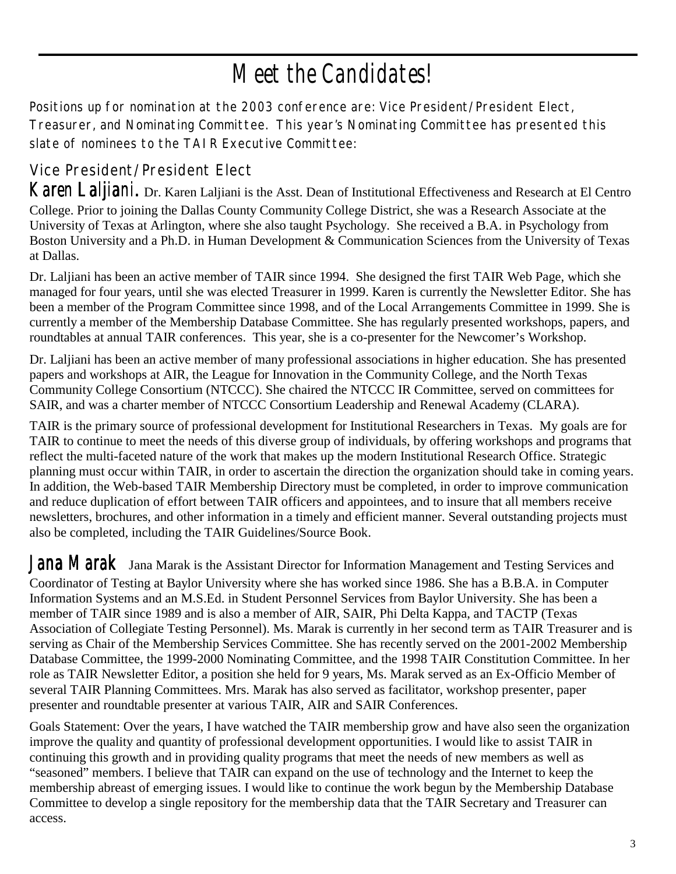# *Meet the Candidates!*

Positions up for nomination at the 2003 conference are: Vice President/President Elect, Treasurer, and Nominating Committee. This year's Nominating Committee has presented this slate of nominees to the TAIR Executive Committee:

### Vice President/President Elect

*Karen Laljiani.* Dr. Karen Laljiani is the Asst. Dean of Institutional Effectiveness and Research at El Centro College. Prior to joining the Dallas County Community College District, she was a Research Associate at the University of Texas at Arlington, where she also taught Psychology. She received a B.A. in Psychology from Boston University and a Ph.D. in Human Development & Communication Sciences from the University of Texas at Dallas.

Dr. Laljiani has been an active member of TAIR since 1994. She designed the first TAIR Web Page, which she managed for four years, until she was elected Treasurer in 1999. Karen is currently the Newsletter Editor. She has been a member of the Program Committee since 1998, and of the Local Arrangements Committee in 1999. She is currently a member of the Membership Database Committee. She has regularly presented workshops, papers, and roundtables at annual TAIR conferences. This year, she is a co-presenter for the Newcomer's Workshop.

Dr. Laljiani has been an active member of many professional associations in higher education. She has presented papers and workshops at AIR, the League for Innovation in the Community College, and the North Texas Community College Consortium (NTCCC). She chaired the NTCCC IR Committee, served on committees for SAIR, and was a charter member of NTCCC Consortium Leadership and Renewal Academy (CLARA).

TAIR is the primary source of professional development for Institutional Researchers in Texas. My goals are for TAIR to continue to meet the needs of this diverse group of individuals, by offering workshops and programs that reflect the multi-faceted nature of the work that makes up the modern Institutional Research Office. Strategic planning must occur within TAIR, in order to ascertain the direction the organization should take in coming years. In addition, the Web-based TAIR Membership Directory must be completed, in order to improve communication and reduce duplication of effort between TAIR officers and appointees, and to insure that all members receive newsletters, brochures, and other information in a timely and efficient manner. Several outstanding projects must also be completed, including the TAIR Guidelines/Source Book.

Jana Marak Jana Marak is the Assistant Director for Information Management and Testing Services and Coordinator of Testing at Baylor University where she has worked since 1986. She has a B.B.A. in Computer Information Systems and an M.S.Ed. in Student Personnel Services from Baylor University. She has been a member of TAIR since 1989 and is also a member of AIR, SAIR, Phi Delta Kappa, and TACTP (Texas Association of Collegiate Testing Personnel). Ms. Marak is currently in her second term as TAIR Treasurer and is serving as Chair of the Membership Services Committee. She has recently served on the 2001-2002 Membership Database Committee, the 1999-2000 Nominating Committee, and the 1998 TAIR Constitution Committee. In her role as TAIR Newsletter Editor, a position she held for 9 years, Ms. Marak served as an Ex-Officio Member of several TAIR Planning Committees. Mrs. Marak has also served as facilitator, workshop presenter, paper presenter and roundtable presenter at various TAIR, AIR and SAIR Conferences.

Goals Statement: Over the years, I have watched the TAIR membership grow and have also seen the organization improve the quality and quantity of professional development opportunities. I would like to assist TAIR in continuing this growth and in providing quality programs that meet the needs of new members as well as "seasoned" members. I believe that TAIR can expand on the use of technology and the Internet to keep the membership abreast of emerging issues. I would like to continue the work begun by the Membership Database Committee to develop a single repository for the membership data that the TAIR Secretary and Treasurer can access.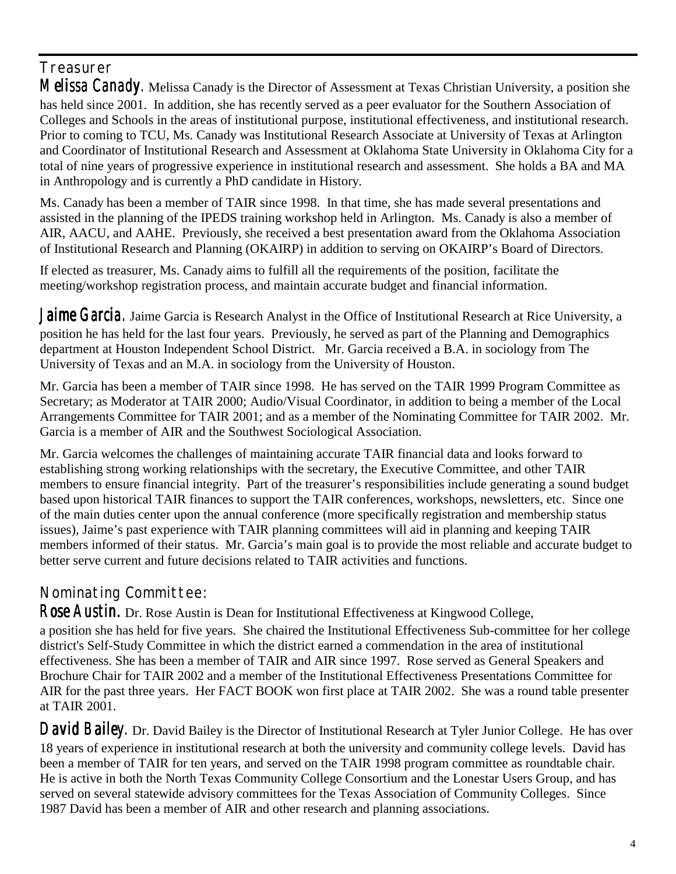### **Treasurer**

*Melissa Canady.* Melissa Canady is the Director of Assessment at Texas Christian University, a position she has held since 2001. In addition, she has recently served as a peer evaluator for the Southern Association of Colleges and Schools in the areas of institutional purpose, institutional effectiveness, and institutional research. Prior to coming to TCU, Ms. Canady was Institutional Research Associate at University of Texas at Arlington and Coordinator of Institutional Research and Assessment at Oklahoma State University in Oklahoma City for a total of nine years of progressive experience in institutional research and assessment. She holds a BA and MA in Anthropology and is currently a PhD candidate in History.

Ms. Canady has been a member of TAIR since 1998. In that time, she has made several presentations and assisted in the planning of the IPEDS training workshop held in Arlington. Ms. Canady is also a member of AIR, AACU, and AAHE. Previously, she received a best presentation award from the Oklahoma Association of Institutional Research and Planning (OKAIRP) in addition to serving on OKAIRP's Board of Directors.

If elected as treasurer, Ms. Canady aims to fulfill all the requirements of the position, facilitate the meeting/workshop registration process, and maintain accurate budget and financial information.

Jaime Garcia. Jaime Garcia is Research Analyst in the Office of Institutional Research at Rice University, a position he has held for the last four years. Previously, he served as part of the Planning and Demographics department at Houston Independent School District. Mr. Garcia received a B.A. in sociology from The University of Texas and an M.A. in sociology from the University of Houston.

Mr. Garcia has been a member of TAIR since 1998. He has served on the TAIR 1999 Program Committee as Secretary; as Moderator at TAIR 2000; Audio/Visual Coordinator, in addition to being a member of the Local Arrangements Committee for TAIR 2001; and as a member of the Nominating Committee for TAIR 2002. Mr. Garcia is a member of AIR and the Southwest Sociological Association.

Mr. Garcia welcomes the challenges of maintaining accurate TAIR financial data and looks forward to establishing strong working relationships with the secretary, the Executive Committee, and other TAIR members to ensure financial integrity. Part of the treasurer's responsibilities include generating a sound budget based upon historical TAIR finances to support the TAIR conferences, workshops, newsletters, etc. Since one of the main duties center upon the annual conference (more specifically registration and membership status issues), Jaime's past experience with TAIR planning committees will aid in planning and keeping TAIR members informed of their status. Mr. Garcia's main goal is to provide the most reliable and accurate budget to better serve current and future decisions related to TAIR activities and functions.

### Nominating Committee:

*Rose Austin.* Dr. Rose Austin is Dean for Institutional Effectiveness at Kingwood College,

a position she has held for five years. She chaired the Institutional Effectiveness Sub-committee for her college district's Self-Study Committee in which the district earned a commendation in the area of institutional effectiveness. She has been a member of TAIR and AIR since 1997. Rose served as General Speakers and Brochure Chair for TAIR 2002 and a member of the Institutional Effectiveness Presentations Committee for AIR for the past three years. Her FACT BOOK won first place at TAIR 2002. She was a round table presenter at TAIR 2001.

*David Bailey.* Dr. David Bailey is the Director of Institutional Research at Tyler Junior College. He has over 18 years of experience in institutional research at both the university and community college levels. David has been a member of TAIR for ten years, and served on the TAIR 1998 program committee as roundtable chair. He is active in both the North Texas Community College Consortium and the Lonestar Users Group, and has served on several statewide advisory committees for the Texas Association of Community Colleges. Since 1987 David has been a member of AIR and other research and planning associations.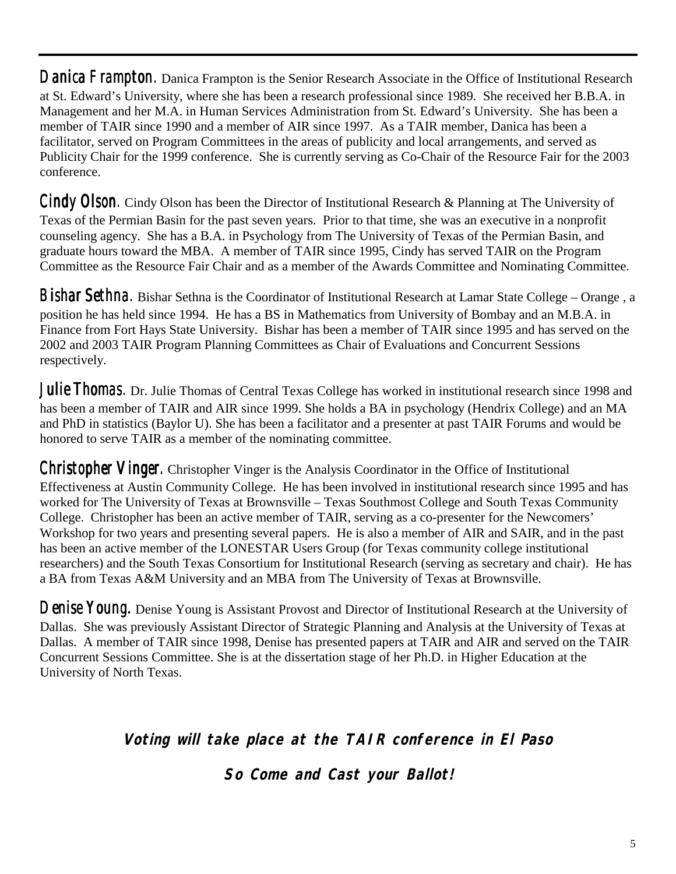**Danica Frampton.** Danica Frampton is the Senior Research Associate in the Office of Institutional Research at St. Edward's University, where she has been a research professional since 1989. She received her B.B.A. in Management and her M.A. in Human Services Administration from St. Edward's University. She has been a member of TAIR since 1990 and a member of AIR since 1997. As a TAIR member, Danica has been a facilitator, served on Program Committees in the areas of publicity and local arrangements, and served as Publicity Chair for the 1999 conference. She is currently serving as Co-Chair of the Resource Fair for the 2003 conference.

**Cindy Olson**. Cindy Olson has been the Director of Institutional Research & Planning at The University of Texas of the Permian Basin for the past seven years. Prior to that time, she was an executive in a nonprofit counseling agency. She has a B.A. in Psychology from The University of Texas of the Permian Basin, and graduate hours toward the MBA. A member of TAIR since 1995, Cindy has served TAIR on the Program Committee as the Resource Fair Chair and as a member of the Awards Committee and Nominating Committee.

*Bishar Sethna. Bishar Sethna.* Bishar Sethna is the Coordinator of Institutional Research at Lamar State College – Orange , a position he has held since 1994. He has a BS in Mathematics from University of Bombay and an M.B.A. in Finance from Fort Hays State University. Bishar has been a member of TAIR since 1995 and has served on the 2002 and 2003 TAIR Program Planning Committees as Chair of Evaluations and Concurrent Sessions respectively.

Julie Thomas. Dr. Julie Thomas of Central Texas College has worked in institutional research since 1998 and has been a member of TAIR and AIR since 1999. She holds a BA in psychology (Hendrix College) and an MA and PhD in statistics (Baylor U). She has been a facilitator and a presenter at past TAIR Forums and would be honored to serve TAIR as a member of the nominating committee.

*Christopher Vinger. Vinger.* Christopher Vinger is the Analysis Coordinator in the Office of Institutional Effectiveness at Austin Community College. He has been involved in institutional research since 1995 and has worked for The University of Texas at Brownsville – Texas Southmost College and South Texas Community College. Christopher has been an active member of TAIR, serving as a co-presenter for the Newcomers' Workshop for two years and presenting several papers. He is also a member of AIR and SAIR, and in the past has been an active member of the LONESTAR Users Group (for Texas community college institutional researchers) and the South Texas Consortium for Institutional Research (serving as secretary and chair). He has a BA from Texas A&M University and an MBA from The University of Texas at Brownsville.

**Denise Young.** Denise Young is Assistant Provost and Director of Institutional Research at the University of Dallas. She was previously Assistant Director of Strategic Planning and Analysis at the University of Texas at Dallas. A member of TAIR since 1998, Denise has presented papers at TAIR and AIR and served on the TAIR Concurrent Sessions Committee. She is at the dissertation stage of her Ph.D. in Higher Education at the University of North Texas.

**Voting will take place at the TAIR conference in El Paso** 

**So Come and Cast your Ballot!**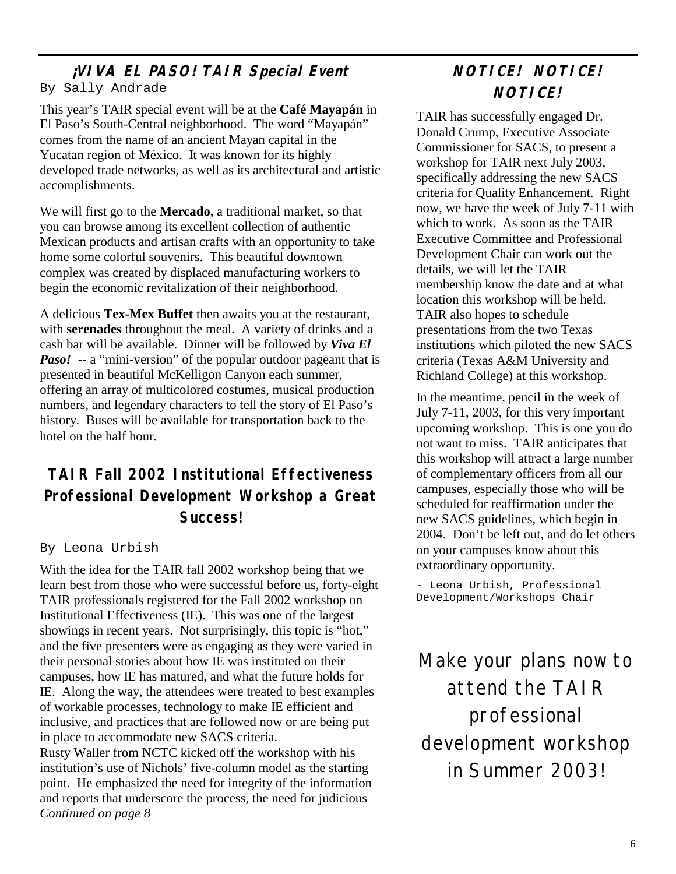## **¡VIVA EL PASO! TAIR Special Event**

#### By Sally Andrade

This year's TAIR special event will be at the **Café Mayapán** in El Paso's South-Central neighborhood. The word "Mayapán" comes from the name of an ancient Mayan capital in the Yucatan region of México. It was known for its highly developed trade networks, as well as its architectural and artistic accomplishments.

We will first go to the **Mercado,** a traditional market, so that you can browse among its excellent collection of authentic Mexican products and artisan crafts with an opportunity to take home some colorful souvenirs. This beautiful downtown complex was created by displaced manufacturing workers to begin the economic revitalization of their neighborhood.

A delicious **Tex-Mex Buffet** then awaits you at the restaurant, with **serenades** throughout the meal. A variety of drinks and a cash bar will be available. Dinner will be followed by *Viva El Paso!* -- a "mini-version" of the popular outdoor pageant that is presented in beautiful McKelligon Canyon each summer, offering an array of multicolored costumes, musical production numbers, and legendary characters to tell the story of El Paso's history. Buses will be available for transportation back to the hotel on the half hour.

### **TAIR Fall 2002 Institutional Effectiveness Professional Development Workshop a Great Success!**

#### By Leona Urbish

With the idea for the TAIR fall 2002 workshop being that we learn best from those who were successful before us, forty-eight TAIR professionals registered for the Fall 2002 workshop on Institutional Effectiveness (IE). This was one of the largest showings in recent years. Not surprisingly, this topic is "hot," and the five presenters were as engaging as they were varied in their personal stories about how IE was instituted on their campuses, how IE has matured, and what the future holds for IE. Along the way, the attendees were treated to best examples of workable processes, technology to make IE efficient and inclusive, and practices that are followed now or are being put in place to accommodate new SACS criteria. Rusty Waller from NCTC kicked off the workshop with his institution's use of Nichols' five-column model as the starting point. He emphasized the need for integrity of the information and reports that underscore the process, the need for judicious *Continued on page 8* 

### **NOTICE! NOTICE! NOTICE!**

TAIR has successfully engaged Dr. Donald Crump, Executive Associate Commissioner for SACS, to present a workshop for TAIR next July 2003, specifically addressing the new SACS criteria for Quality Enhancement. Right now, we have the week of July 7-11 with which to work. As soon as the TAIR Executive Committee and Professional Development Chair can work out the details, we will let the TAIR membership know the date and at what location this workshop will be held. TAIR also hopes to schedule presentations from the two Texas institutions which piloted the new SACS criteria (Texas A&M University and Richland College) at this workshop.

In the meantime, pencil in the week of July 7-11, 2003, for this very important upcoming workshop. This is one you do not want to miss. TAIR anticipates that this workshop will attract a large number of complementary officers from all our campuses, especially those who will be scheduled for reaffirmation under the new SACS guidelines, which begin in 2004. Don't be left out, and do let others on your campuses know about this extraordinary opportunity.

- Leona Urbish, Professional Development/Workshops Chair

Make your plans now to attend the TAIR professional development workshop in Summer 2003!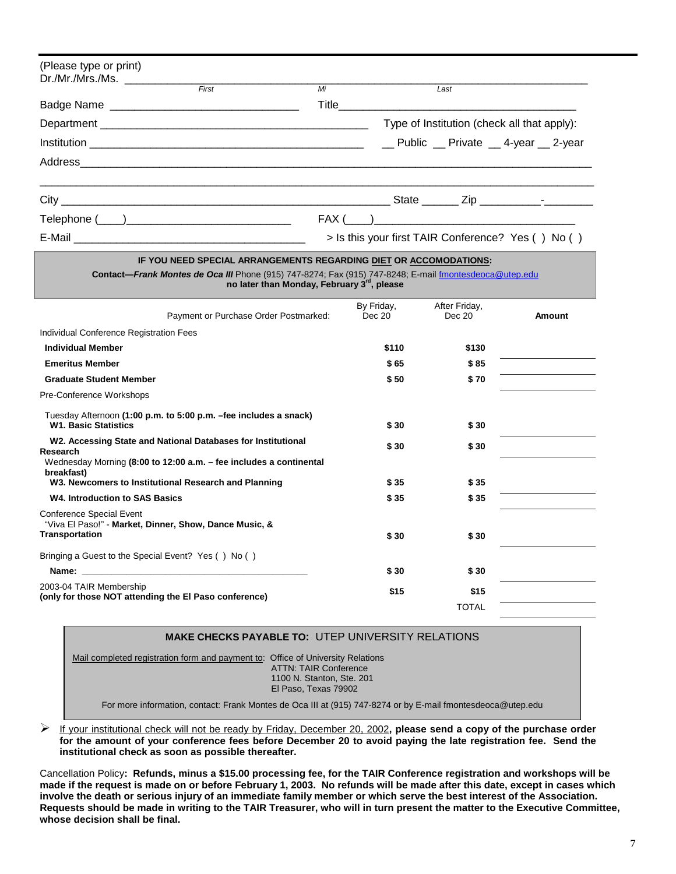| (Please type or print) |       |    |                                             |                                                    |  |
|------------------------|-------|----|---------------------------------------------|----------------------------------------------------|--|
|                        | First | Mi | Last                                        |                                                    |  |
|                        |       |    |                                             |                                                    |  |
|                        |       |    | Type of Institution (check all that apply): |                                                    |  |
|                        |       |    |                                             |                                                    |  |
|                        |       |    |                                             |                                                    |  |
|                        |       |    |                                             |                                                    |  |
|                        |       |    |                                             | $FAX (\_\_) \_\_$                                  |  |
|                        |       |    |                                             | > Is this your first TAIR Conference? Yes () No () |  |

#### **IF YOU NEED SPECIAL ARRANGEMENTS REGARDING DIET OR ACCOMODATIONS:**

**Contact—***Frank Montes de Oca III* Phone (915) 747-8274; Fax (915) 747-8248; E-mail fmontesdeoca@utep.edu **no later than Monday, February 3rd, please** 

| Payment or Purchase Order Postmarked:                                                                                                                                                                                          | By Friday,<br>Dec 20 | After Friday,<br>Dec 20 | Amount |
|--------------------------------------------------------------------------------------------------------------------------------------------------------------------------------------------------------------------------------|----------------------|-------------------------|--------|
| Individual Conference Registration Fees                                                                                                                                                                                        |                      |                         |        |
| <b>Individual Member</b>                                                                                                                                                                                                       | \$110                | \$130                   |        |
| <b>Emeritus Member</b>                                                                                                                                                                                                         | \$65                 | \$85                    |        |
| <b>Graduate Student Member</b>                                                                                                                                                                                                 | \$50                 | \$70                    |        |
| Pre-Conference Workshops                                                                                                                                                                                                       |                      |                         |        |
| Tuesday Afternoon (1:00 p.m. to 5:00 p.m. -fee includes a snack)<br><b>W1. Basic Statistics</b>                                                                                                                                | \$30                 | \$30                    |        |
| W2. Accessing State and National Databases for Institutional<br>Research                                                                                                                                                       | \$30                 | \$30                    |        |
| Wednesday Morning (8:00 to 12:00 a.m. - fee includes a continental<br>breakfast)                                                                                                                                               |                      |                         |        |
| W3. Newcomers to Institutional Research and Planning                                                                                                                                                                           | \$ 35                | \$ 35                   |        |
| <b>W4. Introduction to SAS Basics</b>                                                                                                                                                                                          | \$35                 | \$35                    |        |
| <b>Conference Special Event</b><br>"Viva El Paso!" - Market, Dinner, Show, Dance Music, &                                                                                                                                      |                      |                         |        |
| <b>Transportation</b>                                                                                                                                                                                                          | \$30                 | \$ 30                   |        |
| Bringing a Guest to the Special Event? Yes () No ()                                                                                                                                                                            |                      |                         |        |
| Name: when the contract of the contract of the contract of the contract of the contract of the contract of the contract of the contract of the contract of the contract of the contract of the contract of the contract of the | \$30                 | \$ 30                   |        |
| 2003-04 TAIR Membership<br>(only for those NOT attending the El Paso conference)                                                                                                                                               | \$15                 | \$15                    |        |
|                                                                                                                                                                                                                                |                      | <b>TOTAL</b>            |        |

#### **MAKE CHECKS PAYABLE TO:** UTEP UNIVERSITY RELATIONS

Mail completed registration form and payment to: Office of University Relations ATTN: TAIR Conference 1100 N. Stanton, Ste. 201 El Paso, Texas 79902

For more information, contact: Frank Montes de Oca III at (915) 747-8274 or by E-mail fmontesdeoca@utep.edu

 If your institutional check will not be ready by Friday, December 20, 2002**, please send a copy of the purchase order for the amount of your conference fees before December 20 to avoid paying the late registration fee. Send the institutional check as soon as possible thereafter.** 

Cancellation Policy**: Refunds, minus a \$15.00 processing fee, for the TAIR Conference registration and workshops will be made if the request is made on or before February 1, 2003. No refunds will be made after this date, except in cases which involve the death or serious injury of an immediate family member or which serve the best interest of the Association. Requests should be made in writing to the TAIR Treasurer, who will in turn present the matter to the Executive Committee, whose decision shall be final.**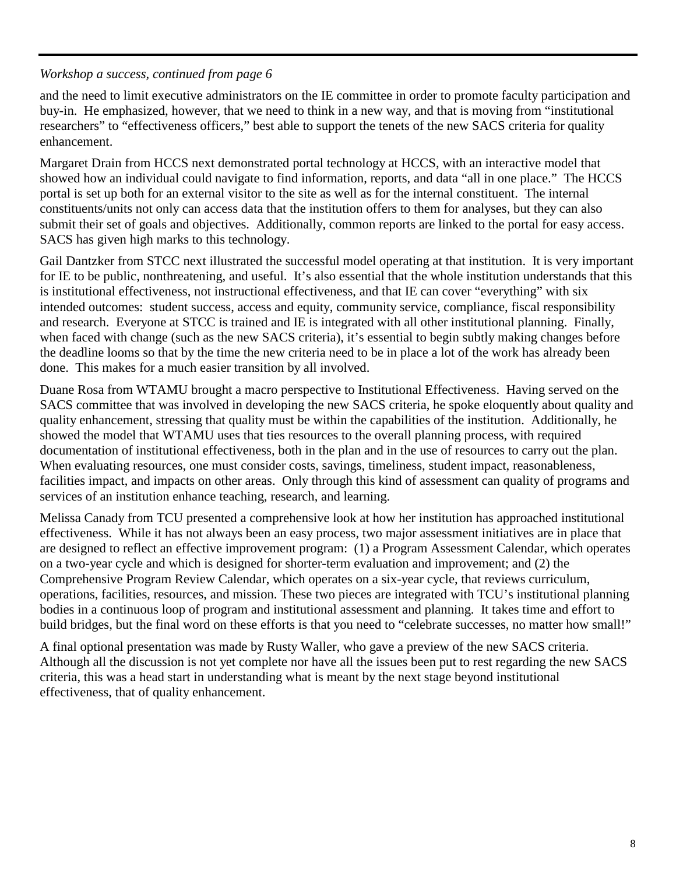#### *Workshop a success, continued from page 6*

and the need to limit executive administrators on the IE committee in order to promote faculty participation and buy-in. He emphasized, however, that we need to think in a new way, and that is moving from "institutional researchers" to "effectiveness officers," best able to support the tenets of the new SACS criteria for quality enhancement.

Margaret Drain from HCCS next demonstrated portal technology at HCCS, with an interactive model that showed how an individual could navigate to find information, reports, and data "all in one place." The HCCS portal is set up both for an external visitor to the site as well as for the internal constituent. The internal constituents/units not only can access data that the institution offers to them for analyses, but they can also submit their set of goals and objectives. Additionally, common reports are linked to the portal for easy access. SACS has given high marks to this technology.

Gail Dantzker from STCC next illustrated the successful model operating at that institution. It is very important for IE to be public, nonthreatening, and useful. It's also essential that the whole institution understands that this is institutional effectiveness, not instructional effectiveness, and that IE can cover "everything" with six intended outcomes: student success, access and equity, community service, compliance, fiscal responsibility and research. Everyone at STCC is trained and IE is integrated with all other institutional planning. Finally, when faced with change (such as the new SACS criteria), it's essential to begin subtly making changes before the deadline looms so that by the time the new criteria need to be in place a lot of the work has already been done. This makes for a much easier transition by all involved.

Duane Rosa from WTAMU brought a macro perspective to Institutional Effectiveness. Having served on the SACS committee that was involved in developing the new SACS criteria, he spoke eloquently about quality and quality enhancement, stressing that quality must be within the capabilities of the institution. Additionally, he showed the model that WTAMU uses that ties resources to the overall planning process, with required documentation of institutional effectiveness, both in the plan and in the use of resources to carry out the plan. When evaluating resources, one must consider costs, savings, timeliness, student impact, reasonableness, facilities impact, and impacts on other areas. Only through this kind of assessment can quality of programs and services of an institution enhance teaching, research, and learning.

Melissa Canady from TCU presented a comprehensive look at how her institution has approached institutional effectiveness. While it has not always been an easy process, two major assessment initiatives are in place that are designed to reflect an effective improvement program: (1) a Program Assessment Calendar, which operates on a two-year cycle and which is designed for shorter-term evaluation and improvement; and (2) the Comprehensive Program Review Calendar, which operates on a six-year cycle, that reviews curriculum, operations, facilities, resources, and mission. These two pieces are integrated with TCU's institutional planning bodies in a continuous loop of program and institutional assessment and planning. It takes time and effort to build bridges, but the final word on these efforts is that you need to "celebrate successes, no matter how small!"

A final optional presentation was made by Rusty Waller, who gave a preview of the new SACS criteria. Although all the discussion is not yet complete nor have all the issues been put to rest regarding the new SACS criteria, this was a head start in understanding what is meant by the next stage beyond institutional effectiveness, that of quality enhancement.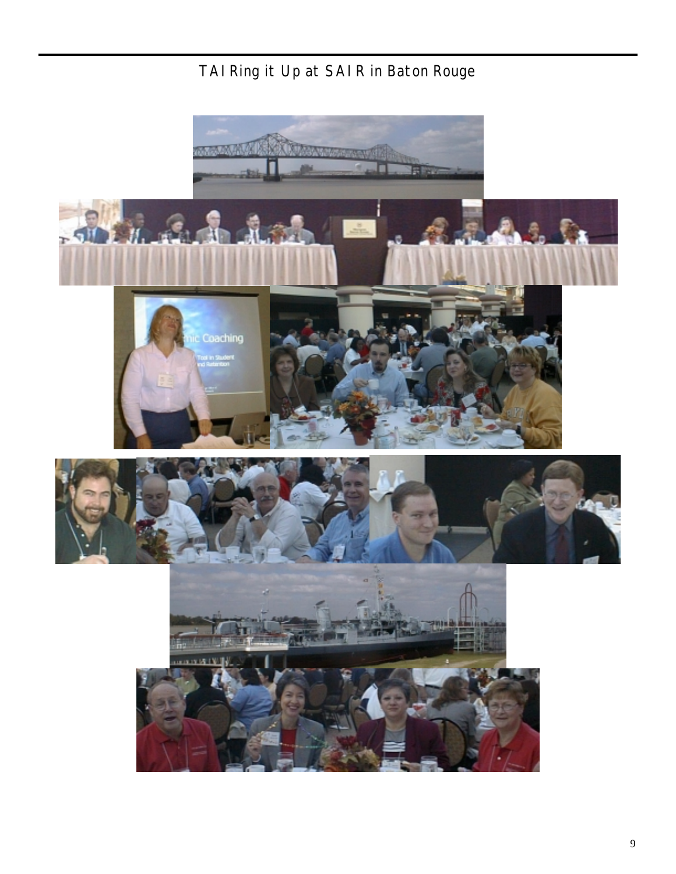

### TAIRing it Up at SAIR in Baton Rouge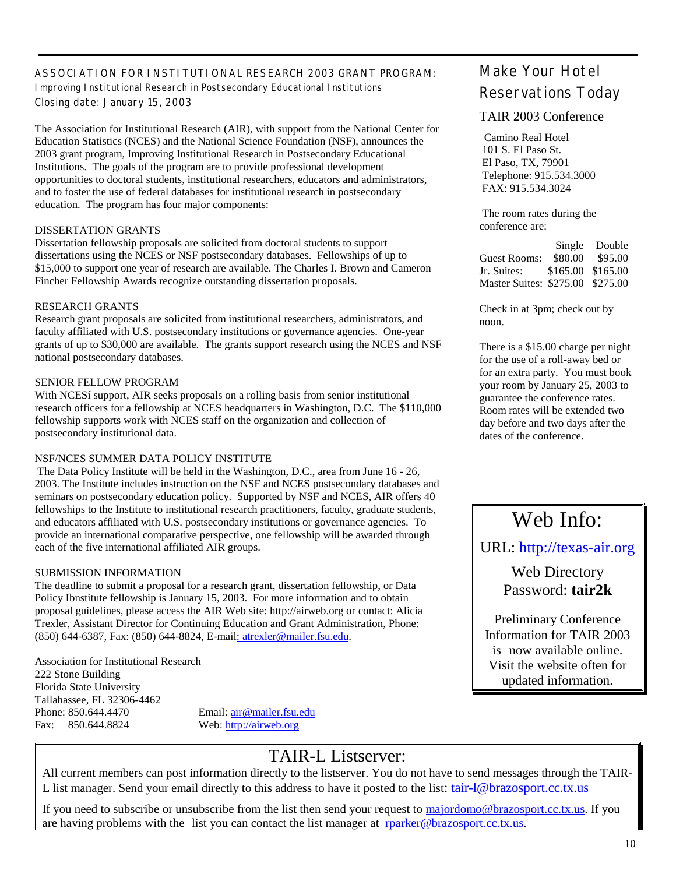#### ASSOCIATION FOR INSTITUTIONAL RESEARCH 2003 GRANT PROGRAM: Improving Institutional Research in Postsecondary Educational Institutions Closing date: January 15, 2003

The Association for Institutional Research (AIR), with support from the National Center for Education Statistics (NCES) and the National Science Foundation (NSF), announces the 2003 grant program, Improving Institutional Research in Postsecondary Educational Institutions. The goals of the program are to provide professional development opportunities to doctoral students, institutional researchers, educators and administrators, and to foster the use of federal databases for institutional research in postsecondary education. The program has four major components:

#### DISSERTATION GRANTS

Dissertation fellowship proposals are solicited from doctoral students to support dissertations using the NCES or NSF postsecondary databases. Fellowships of up to \$15,000 to support one year of research are available. The Charles I. Brown and Cameron Fincher Fellowship Awards recognize outstanding dissertation proposals.

#### RESEARCH GRANTS

Research grant proposals are solicited from institutional researchers, administrators, and faculty affiliated with U.S. postsecondary institutions or governance agencies. One-year grants of up to \$30,000 are available. The grants support research using the NCES and NSF national postsecondary databases.

#### SENIOR FELLOW PROGRAM

With NCESí support, AIR seeks proposals on a rolling basis from senior institutional research officers for a fellowship at NCES headquarters in Washington, D.C. The \$110,000 fellowship supports work with NCES staff on the organization and collection of postsecondary institutional data.

#### NSF/NCES SUMMER DATA POLICY INSTITUTE

 The Data Policy Institute will be held in the Washington, D.C., area from June 16 - 26, 2003. The Institute includes instruction on the NSF and NCES postsecondary databases and seminars on postsecondary education policy. Supported by NSF and NCES, AIR offers 40 fellowships to the Institute to institutional research practitioners, faculty, graduate students, and educators affiliated with U.S. postsecondary institutions or governance agencies. To provide an international comparative perspective, one fellowship will be awarded through each of the five international affiliated AIR groups.

#### SUBMISSION INFORMATION

The deadline to submit a proposal for a research grant, dissertation fellowship, or Data Policy Ibnstitute fellowship is January 15, 2003. For more information and to obtain proposal guidelines, please access the AIR Web site: http://airweb.org or contact: Alicia Trexler, Assistant Director for Continuing Education and Grant Administration, Phone: (850) 644-6387, Fax: (850) 644-8824, E-mail: atrexler@mailer.fsu.edu.

Association for Institutional Research 222 Stone Building Florida State University Tallahassee, FL 32306-4462 Phone: 850.644.4470 Email:  $\frac{\text{air} \omega \text{maller.fsu.edu}}{\text{tan} \omega \text{maller.fsu.edu}}$ Fax: 850.644.8824 Web: http://airweb.org

### TAIR-L Listserver:

All current members can post information directly to the listserver. You do not have to send messages through the TAIR-L list manager. Send your email directly to this address to have it posted to the list: tair-l@brazosport.cc.tx.us

If you need to subscribe or unsubscribe from the list then send your request to majordomo@brazosport.cc.tx.us. If you are having problems with the list you can contact the list manager at rparker@brazosport.cc.tx.us.

### Make Your Hotel Reservations Today

#### TAIR 2003 Conference

 Camino Real Hotel 101 S. El Paso St. El Paso, TX, 79901 Telephone: 915.534.3000 FAX: 915.534.3024

 The room rates during the conference are:

 Single Double Guest Rooms: \$80.00 \$95.00 Jr. Suites: \$165.00 \$165.00 Master Suites: \$275.00 \$275.00

Check in at 3pm; check out by noon.

There is a \$15.00 charge per night for the use of a roll-away bed or for an extra party. You must book your room by January 25, 2003 to guarantee the conference rates. Room rates will be extended two day before and two days after the dates of the conference.

### Web Info:

URL: http://texas-air.org

Web Directory Password: **tair2k**

Preliminary Conference Information for TAIR 2003 is now available online. Visit the website often for updated information.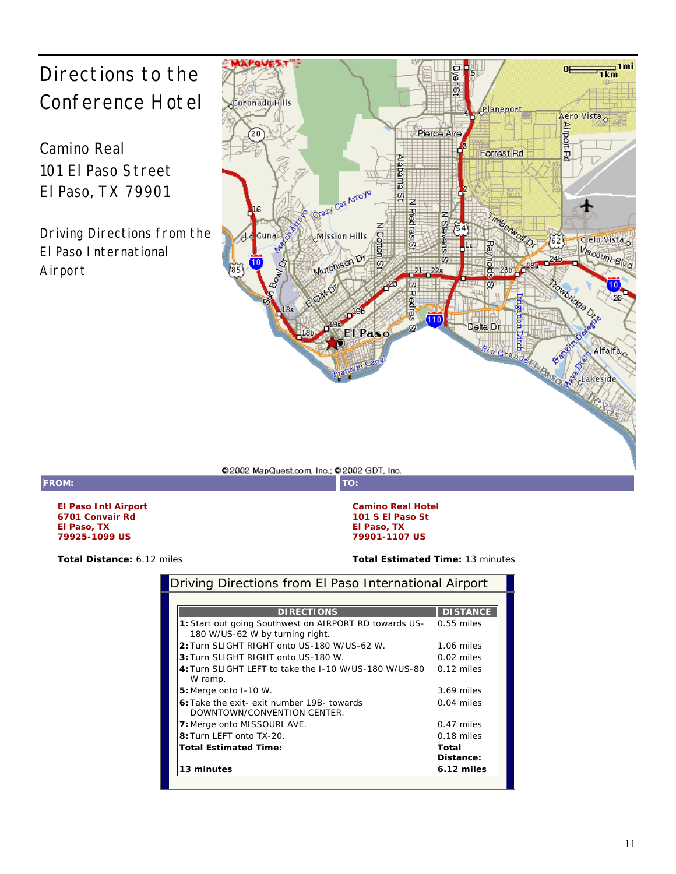## Directions to the Conference Hotel

Camino Real 101 El Paso Street El Paso, TX 79901

Driving Directions from the El Paso International Airport



@2002 MapQuest.com, Inc.: @2002 GDT, Inc.

**FROM: TO:**

**El Paso Intl Airport 6701 Convair Rd El Paso, TX 79925-1099 US** 

**Total Distance:** 6.12 miles **Total Estimated Time:** 13 minutes

**Camino Real Hotel 101 S El Paso St El Paso, TX 79901-1107 US** 

|  |  | Driving Directions from El Paso International Airport |
|--|--|-------------------------------------------------------|
|  |  |                                                       |

| <b>DIRECTIONS</b>                                      | <b>DISTANCE</b> |
|--------------------------------------------------------|-----------------|
| 1: Start out going Southwest on AIRPORT RD towards US- | $0.55$ miles    |
| 180 W/US-62 W by turning right.                        |                 |
| 2: Turn SLIGHT RIGHT onto US-180 W/US-62 W.            | 1.06 miles      |
| 3: Turn SLIGHT RIGHT onto US-180 W.                    | 0.02 miles      |
| 4: Turn SLIGHT LEFT to take the I-10 W/US-180 W/US-80  | $0.12$ miles    |
| W ramp.                                                |                 |
| $5:$ Merge onto $1-10$ W.                              | 3.69 miles      |
| 6: Take the exit- exit number 19B- towards             | $0.04$ miles    |
| DOWNTOWN/CONVENTION CENTER.                            |                 |
| 7: Merge onto MISSOURI AVE.                            | $0.47$ miles    |
| 8: Turn LEFT onto TX-20.                               | $0.18$ miles    |
| <b>Total Estimated Time:</b>                           | Total           |
|                                                        | Distance:       |
| 13 minutes                                             | 6.12 miles      |